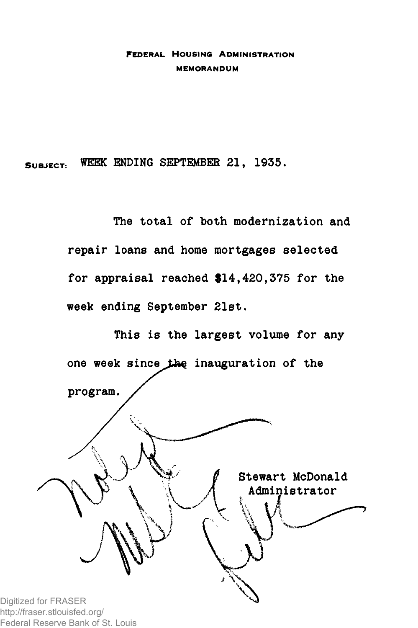### **FEDERAL HOUSING ADMINISTRATION MEMORANDUM**

**SUBJECT: WEEK ENDING SEPTEMBER 21, 1935,**

**The total of both modernization and repair loans and home mortgages selected for appraisal reached \$14,420,375 for the week ending September 21st.**



http://fraser.stlouisfed.org/ Federal Reserve Bank of St. Louis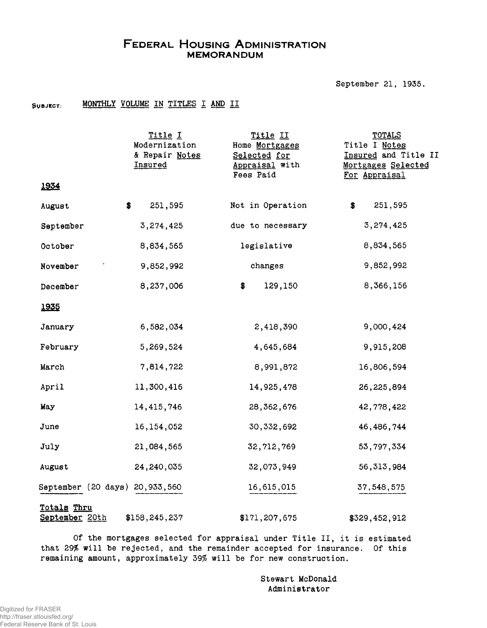## **FEDERAL HOUSING ADMINISTRATION MEMORANDUM**

September 21, 1935.

#### SUBJECT: **MONTHLY VOLUME IN TITLES I AND II**

|                                | Title I<br>Modernization<br>& Repair Notes<br>Insured | Title II<br>Home Mortgages<br>Selected for<br>Appraisal with<br>Fees Paid | <b>TOTALS</b><br>Title I Notes<br>Insured and Title II<br>Mortgages Selected<br>For Appraisal |
|--------------------------------|-------------------------------------------------------|---------------------------------------------------------------------------|-----------------------------------------------------------------------------------------------|
| 1934                           |                                                       |                                                                           |                                                                                               |
| August                         | \$<br>251,595                                         | Not in Operation                                                          | 251,595<br>\$                                                                                 |
| September                      | 3,274,425                                             | due to necessary                                                          | 3,274,425                                                                                     |
| October                        | 8,834,565                                             | legislative                                                               | 8,834,565                                                                                     |
| November                       | 9,852,992                                             | changes                                                                   | 9,852,992                                                                                     |
| December                       | 8,237,006                                             | 129,150<br>\$                                                             | 8,366,156                                                                                     |
| 1935                           |                                                       |                                                                           |                                                                                               |
| January                        | 6,582,034                                             | 2,418,390                                                                 | 9,000,424                                                                                     |
| February                       | 5,269,524                                             | 4,645,684                                                                 | 9,915,208                                                                                     |
| March                          | 7,814,722                                             | 8,991,872                                                                 | 16,806,594                                                                                    |
| April                          | 11,300,416                                            | 14,925,478                                                                | 26,225,894                                                                                    |
| May                            | 14, 415, 746                                          | 28, 362, 676                                                              | 42,778,422                                                                                    |
| June                           | 16, 154, 052                                          | 30, 332, 692                                                              | 46, 486, 744                                                                                  |
| July                           | 21,084,565                                            | 32, 712, 769                                                              | 53, 797, 334                                                                                  |
| August                         | 24,240,035                                            | 32,073,949                                                                | 56, 313, 984                                                                                  |
| September (20 days) 20,933,560 |                                                       | 16,615,015                                                                | 37,548,575                                                                                    |
| Totals Thru<br>September 20th  | \$158,245,237                                         | \$171,207,675                                                             | \$329,452,912                                                                                 |

Of the mortgages selected for appraisal under Title II, it is estimated that 29% will be rejected, and the remainder accepted for insurance. Of this remaining amount, approximately 39% will be for new construction.

> Stewart McDonald Administrator